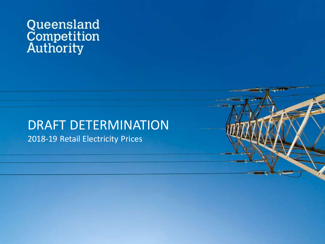# Queensland<br>Competition<br>Authority

## DRAFT DETERMINATION

2018-19 Retail Electricity Prices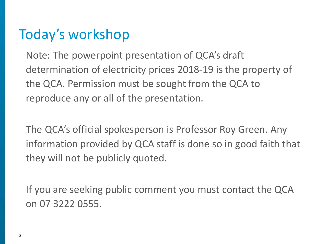#### Today's workshop

Note: The powerpoint presentation of QCA's draft determination of electricity prices 2018-19 is the property of the QCA. Permission must be sought from the QCA to reproduce any or all of the presentation.

The QCA's official spokesperson is Professor Roy Green. Any information provided by QCA staff is done so in good faith that they will not be publicly quoted.

If you are seeking public comment you must contact the QCA on 07 3222 0555.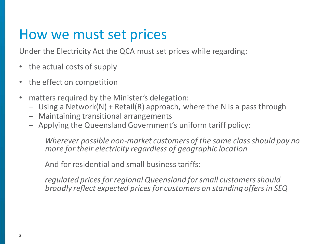#### How we must set prices

Under the Electricity Act the QCA must set prices while regarding:

- the actual costs of supply
- the effect on competition
- matters required by the Minister's delegation:
	- Using a Network(N) + Retail(R) approach, where the N is a pass through
	- Maintaining transitional arrangements
	- Applying the Queensland Government's uniform tariff policy:

*Wherever possible non-market customers of the same class should pay no more for their electricity regardless of geographic location*

And for residential and small business tariffs:

*regulated prices for regional Queensland for small customers should broadly reflect expected prices for customers on standing offers in SEQ*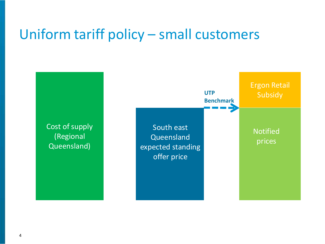#### Uniform tariff policy – small customers

Cost of supply (Regional Queensland) **Queensland Subsidy** South east expected standing offer price **UTP Benchmark** Notified prices

Ergon Retail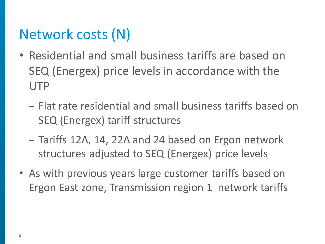#### Network costs (N)

- Residential and small business tariffs are based on SEQ (Energex) price levels in accordance with the UTP
	- Flat rate residential and small business tariffs based on SEQ (Energex) tariff structures
	- Tariffs 12A, 14, 22A and 24 based on Ergon network structures adjusted to SEQ (Energex) price levels
- As with previous years large customer tariffs based on Ergon East zone, Transmission region 1 network tariffs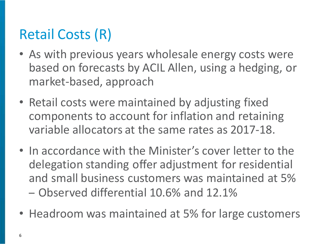### Retail Costs (R)

- As with previous years wholesale energy costs were based on forecasts by ACIL Allen, using a hedging, or market-based, approach
- Retail costs were maintained by adjusting fixed components to account for inflation and retaining variable allocators at the same rates as 2017-18.
- In accordance with the Minister's cover letter to the delegation standing offer adjustment for residential and small business customers was maintained at 5% – Observed differential 10.6% and 12.1%
- Headroom was maintained at 5% for large customers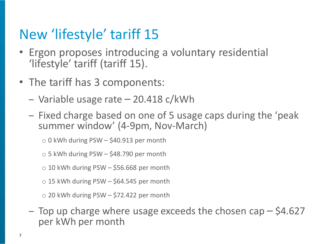#### New 'lifestyle' tariff 15

- Ergon proposes introducing a voluntary residential 'lifestyle' tariff (tariff 15).
- The tariff has 3 components:
	- Variable usage rate 20.418 c/kWh
	- Fixed charge based on one of 5 usage caps during the 'peak summer window' (4-9pm, Nov-March)
		- $\circ$  0 kWh during PSW \$40.913 per month
		- $\circ$  5 kWh during PSW \$48.790 per month
		- $\circ$  10 kWh during PSW \$56.668 per month
		- $\circ$  15 kWh during PSW \$64.545 per month
		- $\circ$  20 kWh during PSW \$72.422 per month
	- $-$  Top up charge where usage exceeds the chosen cap  $-$  \$4.627 per kWh per month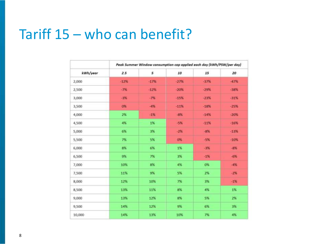#### Tariff 15 – who can benefit?

|          | Peak Summer Window consumption cap applied each day (kWh/PSW/per day) |        |        |           |        |  |
|----------|-----------------------------------------------------------------------|--------|--------|-----------|--------|--|
| kWh/year | 2.5                                                                   | 5      | 10     | 15        | 20     |  |
| 2,000    | $-12%$                                                                | $-17%$ | $-27%$ | $-37%$    | $-47%$ |  |
| 2,500    | $-7%$                                                                 | $-12%$ | $-20%$ | $-29%$    | $-38%$ |  |
| 3,000    | $-3%$                                                                 | $-7%$  | $-15%$ | $-23%$    | -31%   |  |
| 3,500    | 0%                                                                    | $-4%$  | $-11%$ | $-18%$    | $-25%$ |  |
| 4,000    | 2%                                                                    | $-1%$  | $-8%$  | $-14%$    | $-20%$ |  |
| 4,500    | 4%                                                                    | 1%     | $-5%$  | $-11%$    | $-16%$ |  |
| 5,000    | 6%                                                                    | 3%     | $-23$  | $-896$    | $-13%$ |  |
| 5,500    | 7%                                                                    | 5%     | 0%     | $-5%$     | $-10%$ |  |
| 6,000    | 8%                                                                    | 6%     | 1%     | $-3%$     | $-8%$  |  |
| 6,500    | 9%                                                                    | 7%     | 3%     | $-1%$     | $-6%$  |  |
| 7,000    | 10%                                                                   | 8%     | 4%     | <b>O%</b> | $-4%$  |  |
| 7,500    | 11%                                                                   | 9%     | 5%     | 2%        | $-2%$  |  |
| 8,000    | 12%                                                                   | 10%    | 7%     | 3%        | $-1%$  |  |
| 8,500    | 13%                                                                   | 11%    | 8%     | 4%        | 1%     |  |
| 9,000    | 13%                                                                   | 12%    | 8%     | 5%        | 2%     |  |
| 9,500    | 14%                                                                   | 12%    | 9%     | 6%        | 3%     |  |
| 10,000   | 14%                                                                   | 13%    | 10%    | 7%        | 4%     |  |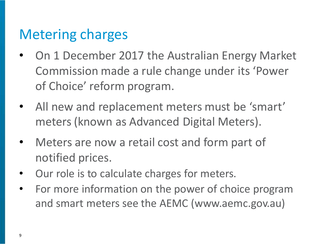#### Metering charges

- On 1 December 2017 the Australian Energy Market Commission made a rule change under its 'Power of Choice' reform program.
- All new and replacement meters must be 'smart' meters (known as Advanced Digital Meters).
- Meters are now a retail cost and form part of notified prices.
- Our role is to calculate charges for meters.
- For more information on the power of choice program and smart meters see the AEMC (www.aemc.gov.au)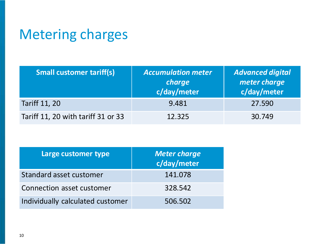#### Metering charges

| <b>Small customer tariff(s)</b>    | <b>Accumulation meter</b><br>charge<br>c/day/meter | <b>Advanced digital</b><br>meter charge<br>c/day/meter |
|------------------------------------|----------------------------------------------------|--------------------------------------------------------|
| <b>Tariff 11, 20</b>               | 9.481                                              | 27.590                                                 |
| Tariff 11, 20 with tariff 31 or 33 | 12.325                                             | 30.749                                                 |

| Large customer type              | <b>Meter charge</b><br>c/day/meter |
|----------------------------------|------------------------------------|
| Standard asset customer          | 141.078                            |
| Connection asset customer        | 328.542                            |
| Individually calculated customer | 506.502                            |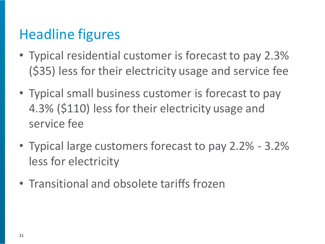### Headline figures

- Typical residential customer is forecast to pay 2.3% (\$35) less for their electricity usage and service fee
- Typical small business customer is forecast to pay 4.3% (\$110) less for their electricity usage and service fee
- Typical large customers forecast to pay 2.2% 3.2% less for electricity
- Transitional and obsolete tariffs frozen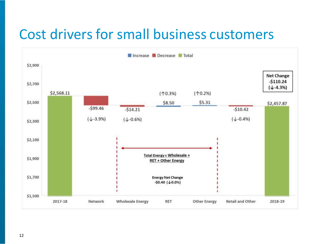#### Cost drivers for small business customers

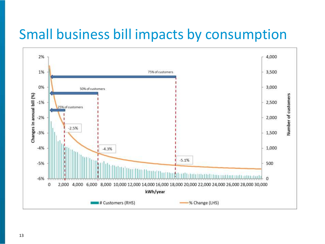#### Small business bill impacts by consumption

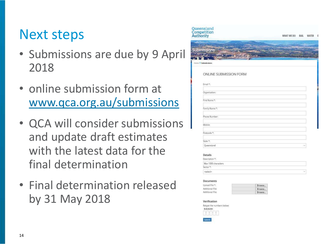#### Next steps

- Submissions are due by 9 April 2018
- online submission form at [www.qca.org.au/submissions](http://www.qca.org.au/submissions)
- QCA will consider submissions and update draft estimates with the latest data for the final determination
- Final determination released by 31 May 2018



#### Details

| Jescription "       |        |
|---------------------|--------|
| Max 1000 characters |        |
| ertor <sup>*</sup>  |        |
| <select></select>   | $\sim$ |

#### Documents Hoload File \* Browse. Additional File: Rrowce. Additional File **Request**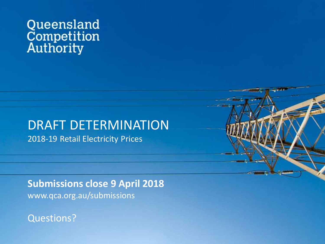## Queensland<br>Competition<br>Authority

#### DRAFT DETERMINATION 2018-19 Retail Electricity Prices

 $\overline{\phantom{a}}$ **Submissions close 9 April 2018** www.qca.org.au/submissions

Questions?